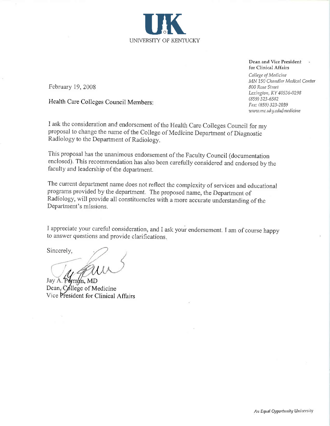UNIVERSITY OF KENTUCKY

February 19, 2008

Health Care Colleges Council Members:

I ask the consideration and endorsement of the Health Care Colleges Council for my proposal to change the name of the College of Medicine Department of Diagnostic Radiology to the Department of Radiology.

This proposal has the unanimous endorsement of the Faculty Council (documentation enclosed). This recommendation has also been carefully considered and endorsed by the faculty and leadership of the department.

The current department name does not reflect the complexity of services and educational programs provided by the department. The proposed name, the Department of Radiology, will provide all constituencies with a more accurate understanding of the Department's missions.

I appreciate your careful consideration, and I ask your endorsement. I am of course happy to answer questions and provide clarifications.

Sincerely,

Jay A. Perman, MD Dean, College of Medicine Vice President for Clinical Affairs

for Clinical Affairs College of Medicine MN 150 Chandler Medical Center 800 Rose Street Lexington, KY 40536-0298  $(859)$  323-6582

Fax: (859) 323-2039 www.mc.uky.edu/medicine

Dean and Vice President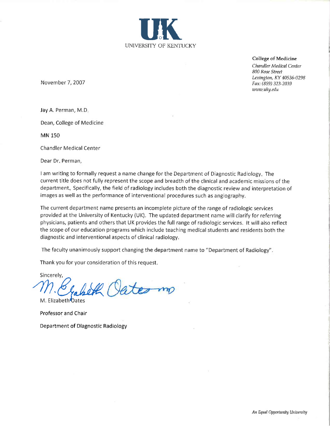

**College of Medicine** Chandler Medical Center 800 Rose Street Lexington, KY 40536-0298 Fax: (859) 323-2039 www.uky.edu

November 7, 2007

Jay A. Perman, M.D.

Dean, College of Medicine

**MN 150** 

**Chandler Medical Center** 

Dear Dr. Perman,

I am writing to formally request a name change for the Department of Diagnostic Radiology. The current title does not fully represent the scope and breadth of the clinical and academic missions of the department, Specifically, the field of radiology includes both the diagnostic review and interpretation of images as well as the performance of interventional procedures such as angiography.

The current department name presents an incomplete picture of the range of radiologic services provided at the University of Kentucky (UK). The updated department name will clarify for referring physicians, patients and others that UK provides the full range of radiologic services. It will also reflect the scope of our education programs which include teaching medical students and residents both the diagnostic and interventional aspects of clinical radiology.

The faculty unanimously support changing the department name to "Department of Radiology".

Thank you for your consideration of this request.

Sincerely. teo mo

M. Elizabeth Oates Professor and Chair

Department of Diagnostic Radiology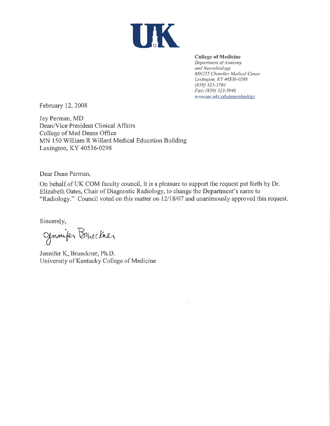

## **College of Medicine**

Department of Anatomy and Neurobiology MN225 Chandler Medical Center Lexington, KY 40536-0298 (859) 323-3780 Fax: (859) 323-5946 www.mc.uky.edu/neurobiology

February 12, 2008

Jay Perman, MD Dean/Vice President Clinical Affairs College of Med Deans Office MN 150 William R Willard Medical Education Building Lexington, KY 40536-0298

Dear Dean Perman,

On behalf of UK COM faculty council, it is a pleasure to support the request put forth by Dr. Elizabeth Oates, Chair of Diagnostic Radiology, to change the Department's name to "Radiology." Council voted on this matter on 12/18/07 and unanimously approved this request.

Sincerely,

Junifer Bruckher

Jennifer K, Brueckner, Ph.D. University of Kentucky College of Medicine